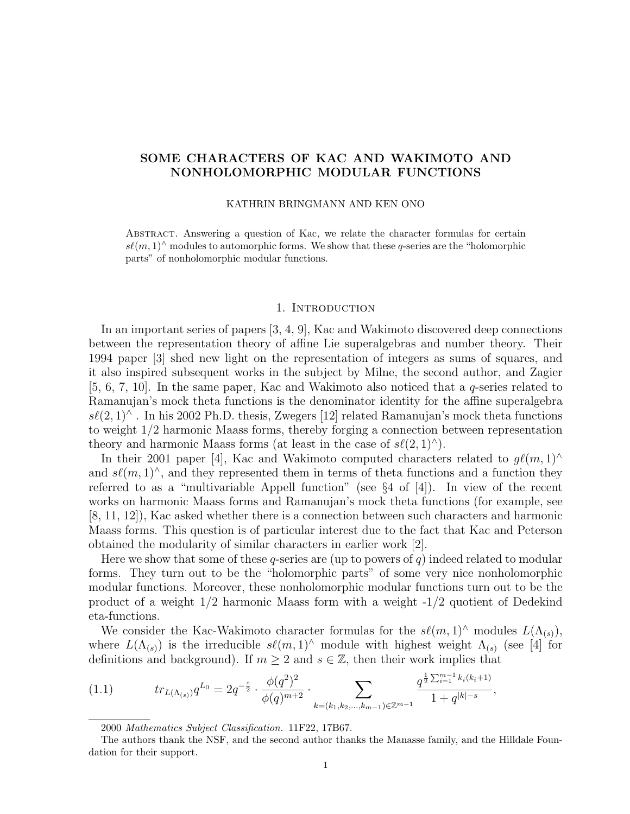# SOME CHARACTERS OF KAC AND WAKIMOTO AND NONHOLOMORPHIC MODULAR FUNCTIONS

### KATHRIN BRINGMANN AND KEN ONO

Abstract. Answering a question of Kac, we relate the character formulas for certain  $s\ell(m, 1)^\wedge$  modules to automorphic forms. We show that these q-series are the "holomorphic parts" of nonholomorphic modular functions.

#### 1. Introduction

In an important series of papers [3, 4, 9], Kac and Wakimoto discovered deep connections between the representation theory of affine Lie superalgebras and number theory. Their 1994 paper [3] shed new light on the representation of integers as sums of squares, and it also inspired subsequent works in the subject by Milne, the second author, and Zagier  $[5, 6, 7, 10]$ . In the same paper, Kac and Wakimoto also noticed that a q-series related to Ramanujan's mock theta functions is the denominator identity for the affine superalgebra  $s\ell(2,1)^\wedge$ . In his 2002 Ph.D. thesis, Zwegers [12] related Ramanujan's mock theta functions to weight 1/2 harmonic Maass forms, thereby forging a connection between representation theory and harmonic Maass forms (at least in the case of  $s\ell(2, 1)^{\wedge}$ ).

In their 2001 paper [4], Kac and Wakimoto computed characters related to  $g\ell(m, 1)$ <sup>∧</sup> and  $s\ell(m, 1)$ <sup> $\wedge$ </sup>, and they represented them in terms of theta functions and a function they referred to as a "multivariable Appell function" (see §4 of [4]). In view of the recent works on harmonic Maass forms and Ramanujan's mock theta functions (for example, see [8, 11, 12]), Kac asked whether there is a connection between such characters and harmonic Maass forms. This question is of particular interest due to the fact that Kac and Peterson obtained the modularity of similar characters in earlier work [2].

Here we show that some of these q-series are (up to powers of q) indeed related to modular forms. They turn out to be the "holomorphic parts" of some very nice nonholomorphic modular functions. Moreover, these nonholomorphic modular functions turn out to be the product of a weight 1/2 harmonic Maass form with a weight -1/2 quotient of Dedekind eta-functions.

We consider the Kac-Wakimoto character formulas for the  $s\ell(m, 1)^\wedge$  modules  $L(\Lambda_{(s)})$ , where  $L(\Lambda_{(s)})$  is the irreducible  $s\ell(m, 1)^\wedge$  module with highest weight  $\Lambda_{(s)}$  (see [4] for definitions and background). If  $m \geq 2$  and  $s \in \mathbb{Z}$ , then their work implies that

$$
(1.1) \t tr_{L(\Lambda_{(s)})} q^{L_0} = 2q^{-\frac{s}{2}} \cdot \frac{\phi(q^2)^2}{\phi(q)^{m+2}} \cdot \sum_{k=(k_1,k_2,\ldots,k_{m-1}) \in \mathbb{Z}^{m-1}} \frac{q^{\frac{1}{2}\sum_{i=1}^{m-1}k_i(k_i+1)}}{1+q^{|k|-s}},
$$

<sup>2000</sup> Mathematics Subject Classification. 11F22, 17B67.

The authors thank the NSF, and the second author thanks the Manasse family, and the Hilldale Foundation for their support.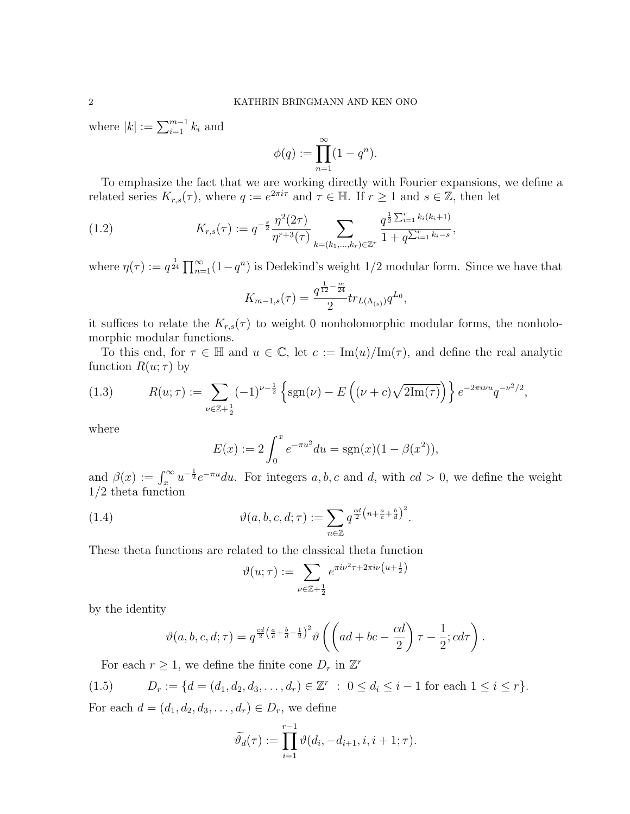where  $|k| := \sum_{i=1}^{m-1} k_i$  and

$$
\phi(q) := \prod_{n=1}^{\infty} (1 - q^n).
$$

To emphasize the fact that we are working directly with Fourier expansions, we define a related series  $K_{r,s}(\tau)$ , where  $q := e^{2\pi i \tau}$  and  $\tau \in \mathbb{H}$ . If  $r \geq 1$  and  $s \in \mathbb{Z}$ , then let

(1.2) 
$$
K_{r,s}(\tau) := q^{-\frac{s}{2}} \frac{\eta^2(2\tau)}{\eta^{r+3}(\tau)} \sum_{k=(k_1,\dots,k_r) \in \mathbb{Z}^r} \frac{q^{\frac{1}{2}\sum_{i=1}^r k_i(k_i+1)}}{1+q^{\sum_{i=1}^r k_i-s}},
$$

where  $\eta(\tau) := q^{\frac{1}{24}} \prod_{n=1}^{\infty} (1 - q^n)$  is Dedekind's weight 1/2 modular form. Since we have that

$$
K_{m-1,s}(\tau) = \frac{q^{\frac{1}{12} - \frac{m}{24}}}{2} tr_{L(\Lambda_{(s)})} q^{L_0},
$$

it suffices to relate the  $K_{r,s}(\tau)$  to weight 0 nonholomorphic modular forms, the nonholomorphic modular functions.

To this end, for  $\tau \in \mathbb{H}$  and  $u \in \mathbb{C}$ , let  $c := \text{Im}(u)/\text{Im}(\tau)$ , and define the real analytic function  $R(u; \tau)$  by

(1.3) 
$$
R(u; \tau) := \sum_{\nu \in \mathbb{Z} + \frac{1}{2}} (-1)^{\nu - \frac{1}{2}} \left\{ \text{sgn}(\nu) - E\left( (\nu + c) \sqrt{2\text{Im}(\tau)} \right) \right\} e^{-2\pi i \nu u} q^{-\nu^2/2},
$$

where

$$
E(x) := 2 \int_0^x e^{-\pi u^2} du = \text{sgn}(x)(1 - \beta(x^2)),
$$

and  $\beta(x) := \int_x^{\infty} u^{-\frac{1}{2}} e^{-\pi u} du$ . For integers a, b, c and d, with  $cd > 0$ , we define the weight 1/2 theta function

(1.4) 
$$
\vartheta(a, b, c, d; \tau) := \sum_{n \in \mathbb{Z}} q^{\frac{cd}{2} \left(n + \frac{a}{c} + \frac{b}{d}\right)^2}.
$$

These theta functions are related to the classical theta function

$$
\vartheta(u;\tau) := \sum_{\nu \in \mathbb{Z}+\frac{1}{2}} e^{\pi i \nu^2 \tau + 2\pi i \nu \left(u + \frac{1}{2}\right)}
$$

by the identity

$$
\vartheta(a,b,c,d;\tau) = q^{\frac{cd}{2}\left(\frac{a}{c} + \frac{b}{d} - \frac{1}{2}\right)^2} \vartheta\left(\left(ad + bc - \frac{cd}{2}\right)\tau - \frac{1}{2}; cd\tau\right).
$$

For each  $r \geq 1$ , we define the finite cone  $D_r$  in  $\mathbb{Z}^r$ 

$$
(1.5) \t Dr := \{d = (d_1, d_2, d_3, \dots, d_r) \in \mathbb{Z}^r : 0 \le d_i \le i - 1 \text{ for each } 1 \le i \le r\}.
$$

For each  $d = (d_1, d_2, d_3, \ldots, d_r) \in D_r$ , we define

$$
\widetilde{\vartheta}_d(\tau) := \prod_{i=1}^{r-1} \vartheta(d_i, -d_{i+1}, i, i+1; \tau).
$$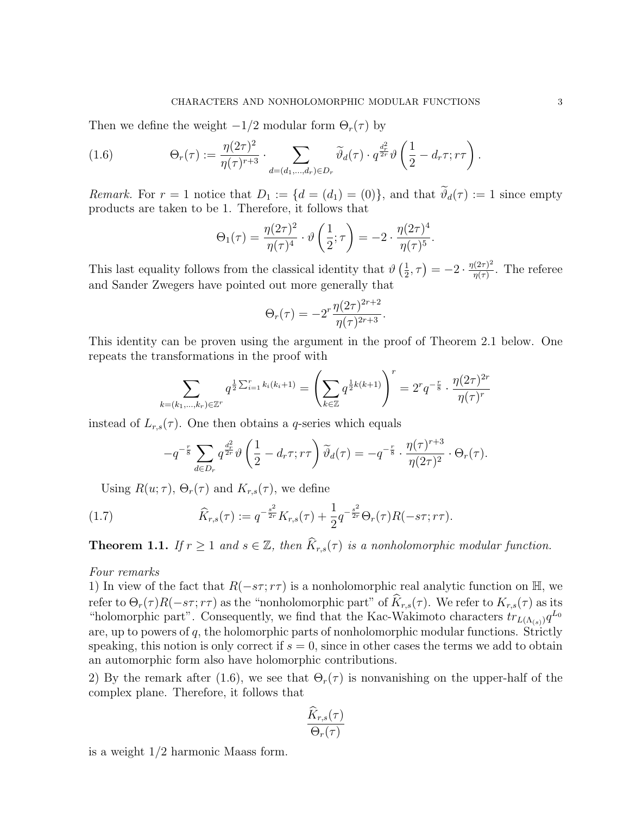Then we define the weight  $-1/2$  modular form  $\Theta_r(\tau)$  by

(1.6) 
$$
\Theta_r(\tau) := \frac{\eta(2\tau)^2}{\eta(\tau)^{r+3}} \cdot \sum_{d=(d_1,\dots,d_r)\in D_r} \widetilde{\vartheta}_d(\tau) \cdot q^{\frac{d_r^2}{2r}} \vartheta \left(\frac{1}{2} - d_r \tau; r\tau\right).
$$

Remark. For  $r = 1$  notice that  $D_1 := \{d = (d_1) = (0)\}\$ , and that  $\widetilde{\vartheta}_d(\tau) := 1$  since empty products are taken to be 1. Therefore, it follows that

$$
\Theta_1(\tau) = \frac{\eta(2\tau)^2}{\eta(\tau)^4} \cdot \vartheta\left(\frac{1}{2};\tau\right) = -2 \cdot \frac{\eta(2\tau)^4}{\eta(\tau)^5}.
$$

This last equality follows from the classical identity that  $\vartheta\left(\frac{1}{2}\right)$  $(\frac{1}{2}, \tau) = -2 \cdot \frac{\eta(2\tau)^2}{\eta(\tau)}$  $\frac{\eta(\pi)^2}{\eta(\tau)}$ . The referee and Sander Zwegers have pointed out more generally that

$$
\Theta_r(\tau) = -2^r \frac{\eta(2\tau)^{2r+2}}{\eta(\tau)^{2r+3}}.
$$

This identity can be proven using the argument in the proof of Theorem 2.1 below. One repeats the transformations in the proof with

$$
\sum_{k=(k_1,\dots,k_r)\in\mathbb{Z}^r} q^{\frac{1}{2}\sum_{i=1}^r k_i(k_i+1)} = \left(\sum_{k\in\mathbb{Z}} q^{\frac{1}{2}k(k+1)}\right)^r = 2^r q^{-\frac{r}{8}} \cdot \frac{\eta(2\tau)^{2r}}{\eta(\tau)^r}
$$

instead of  $L_{r,s}(\tau)$ . One then obtains a q-series which equals

$$
-q^{-\frac{r}{8}}\sum_{d\in D_r}q^{\frac{d_r^2}{2r}}\vartheta\left(\frac{1}{2}-d_r\tau;r\tau\right)\widetilde{\vartheta}_d(\tau)=-q^{-\frac{r}{8}}\cdot\frac{\eta(\tau)^{r+3}}{\eta(2\tau)^2}\cdot\Theta_r(\tau).
$$

Using  $R(u; \tau)$ ,  $\Theta_r(\tau)$  and  $K_{r,s}(\tau)$ , we define

(1.7) 
$$
\widehat{K}_{r,s}(\tau) := q^{-\frac{s^2}{2r}} K_{r,s}(\tau) + \frac{1}{2} q^{-\frac{s^2}{2r}} \Theta_r(\tau) R(-s\tau; r\tau).
$$

**Theorem 1.1.** If  $r \geq 1$  and  $s \in \mathbb{Z}$ , then  $\widehat{K}_{r,s}(\tau)$  is a nonholomorphic modular function.

#### Four remarks

1) In view of the fact that  $R(-s\tau; r\tau)$  is a nonholomorphic real analytic function on  $\mathbb{H}$ , we refer to  $\Theta_r(\tau)R(-s\tau; r\tau)$  as the "nonholomorphic part" of  $\widehat{K}_{r,s}(\tau)$ . We refer to  $K_{r,s}(\tau)$  as its "holomorphic part". Consequently, we find that the Kac-Wakimoto characters  $tr_{L(\Lambda_{(s)})}q^{L_0}$ are, up to powers of  $q$ , the holomorphic parts of nonholomorphic modular functions. Strictly speaking, this notion is only correct if  $s = 0$ , since in other cases the terms we add to obtain an automorphic form also have holomorphic contributions.

2) By the remark after (1.6), we see that  $\Theta_r(\tau)$  is nonvanishing on the upper-half of the complex plane. Therefore, it follows that

$$
\frac{\widehat{K}_{r,s}(\tau)}{\Theta_r(\tau)}
$$

is a weight 1/2 harmonic Maass form.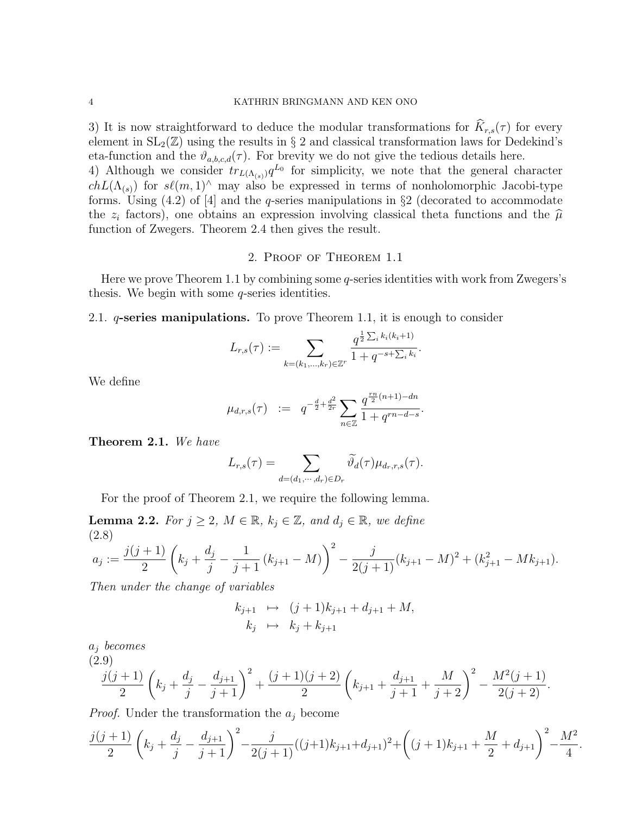3) It is now straightforward to deduce the modular transformations for  $\widehat{K}_{r,s}(\tau)$  for every element in  $SL_2(\mathbb{Z})$  using the results in § 2 and classical transformation laws for Dedekind's eta-function and the  $\vartheta_{a,b,c,d}(\tau)$ . For brevity we do not give the tedious details here.

4) Although we consider  $tr_{L(\Lambda_{(s)})}q^{L_0}$  for simplicity, we note that the general character  $chL(\Lambda_{(s)})$  for  $s\ell(m, 1)^\wedge$  may also be expressed in terms of nonholomorphic Jacobi-type forms. Using  $(4.2)$  of  $[4]$  and the *q*-series manipulations in  $\S2$  (decorated to accommodate the  $z_i$  factors), one obtains an expression involving classical theta functions and the  $\hat{\mu}$ <br>function of Zwegers. Theorem 2.4 then gives the result function of Zwegers. Theorem 2.4 then gives the result.

## 2. Proof of Theorem 1.1

Here we prove Theorem 1.1 by combining some  $q$ -series identities with work from Zwegers's thesis. We begin with some q-series identities.

2.1. *q*-series manipulations. To prove Theorem 1.1, it is enough to consider

$$
L_{r,s}(\tau) := \sum_{k=(k_1,\dots,k_r)\in\mathbb{Z}^r} \frac{q^{\frac{1}{2}\sum_i k_i(k_i+1)}}{1+q^{-s+\sum_i k_i}}.
$$

We define

$$
\mu_{d,r,s}(\tau) \quad := \quad q^{-\frac{d}{2} + \frac{d^2}{2r}} \sum_{n \in \mathbb{Z}} \frac{q^{\frac{rn}{2}(n+1) - dn}}{1 + q^{rn - d - s}}.
$$

Theorem 2.1. We have

$$
L_{r,s}(\tau) = \sum_{d=(d_1,\cdots,d_r)\in D_r} \widetilde{\vartheta}_d(\tau) \mu_{d_r,r,s}(\tau).
$$

For the proof of Theorem 2.1, we require the following lemma.

**Lemma 2.2.** For  $j \geq 2$ ,  $M \in \mathbb{R}$ ,  $k_j \in \mathbb{Z}$ , and  $d_j \in \mathbb{R}$ , we define (2.8)

$$
a_j := \frac{j(j+1)}{2} \left( k_j + \frac{d_j}{j} - \frac{1}{j+1} (k_{j+1} - M) \right)^2 - \frac{j}{2(j+1)} (k_{j+1} - M)^2 + (k_{j+1}^2 - Mk_{j+1}).
$$

Then under the change of variables

$$
k_{j+1} \mapsto (j+1)k_{j+1} + d_{j+1} + M,
$$
  
\n
$$
k_j \mapsto k_j + k_{j+1}
$$

 $a_i$  becomes

$$
\frac{j(j+1)}{2}\left(k_j+\frac{d_j}{j}-\frac{d_{j+1}}{j+1}\right)^2+\frac{(j+1)(j+2)}{2}\left(k_{j+1}+\frac{d_{j+1}}{j+1}+\frac{M}{j+2}\right)^2-\frac{M^2(j+1)}{2(j+2)}.
$$

*Proof.* Under the transformation the  $a_j$  become

$$
\frac{j(j+1)}{2}\left(k_j+\frac{d_j}{j}-\frac{d_{j+1}}{j+1}\right)^2-\frac{j}{2(j+1)}((j+1)k_{j+1}+d_{j+1})^2+\left((j+1)k_{j+1}+\frac{M}{2}+d_{j+1}\right)^2-\frac{M^2}{4}.
$$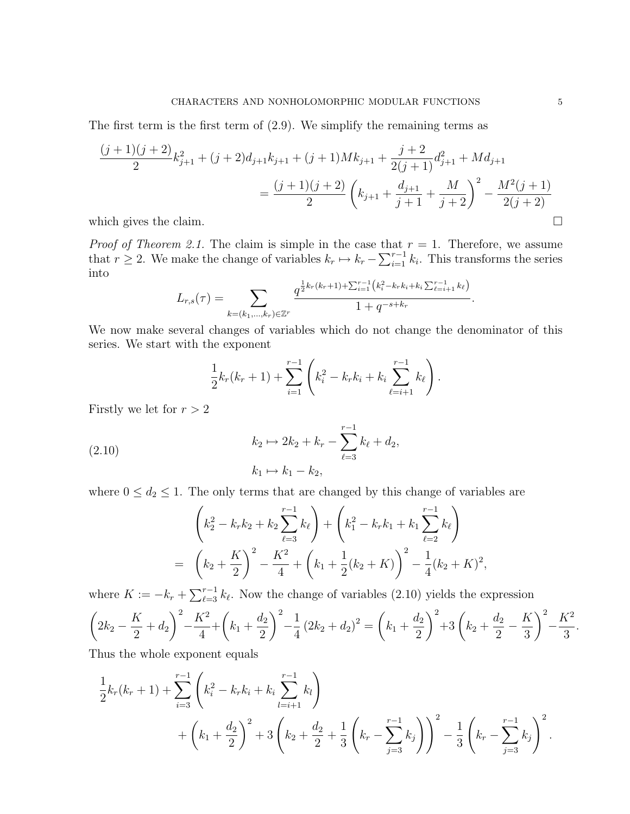The first term is the first term of (2.9). We simplify the remaining terms as

$$
\frac{(j+1)(j+2)}{2}k_{j+1}^{2} + (j+2)d_{j+1}k_{j+1} + (j+1)Mk_{j+1} + \frac{j+2}{2(j+1)}d_{j+1}^{2} + Md_{j+1}
$$
\n
$$
= \frac{(j+1)(j+2)}{2}\left(k_{j+1} + \frac{d_{j+1}}{j+1} + \frac{M}{j+2}\right)^{2} - \frac{M^{2}(j+1)}{2(j+2)}
$$

which gives the claim.  $\Box$ 

*Proof of Theorem 2.1.* The claim is simple in the case that  $r = 1$ . Therefore, we assume that  $r \geq 2$ . We make the change of variables  $k_r \mapsto k_r - \sum_{i=1}^{r-1} k_i$ . This transforms the series into

$$
L_{r,s}(\tau) = \sum_{k=(k_1,\ldots,k_r)\in\mathbb{Z}^r} \frac{q^{\frac{1}{2}k_r(k_r+1)+\sum_{i=1}^{r-1} \left(k_i^2-k_rk_i+k_i\sum_{\ell=i+1}^{r-1} k_\ell\right)}}{1+q^{-s+k_r}}
$$

We now make several changes of variables which do not change the denominator of this series. We start with the exponent

$$
\frac{1}{2}k_r(k_r+1) + \sum_{i=1}^{r-1} \left(k_i^2 - k_r k_i + k_i \sum_{\ell=i+1}^{r-1} k_\ell\right).
$$

Firstly we let for  $r > 2$ 

(2.10) 
$$
k_2 \mapsto 2k_2 + k_r - \sum_{\ell=3}^{r-1} k_{\ell} + d_2,
$$

$$
k_1 \mapsto k_1 - k_2,
$$

where  $0 \leq d_2 \leq 1$ . The only terms that are changed by this change of variables are

$$
\left(k_2^2 - k_r k_2 + k_2 \sum_{\ell=3}^{r-1} k_\ell\right) + \left(k_1^2 - k_r k_1 + k_1 \sum_{\ell=2}^{r-1} k_\ell\right)
$$
  
=  $\left(k_2 + \frac{K}{2}\right)^2 - \frac{K^2}{4} + \left(k_1 + \frac{1}{2}(k_2 + K)\right)^2 - \frac{1}{4}(k_2 + K)^2$ ,

where  $K := -k_r + \sum_{\ell=3}^{r-1} k_\ell$ . Now the change of variables (2.10) yields the expression

$$
\left(2k_2 - \frac{K}{2} + d_2\right)^2 - \frac{K^2}{4} + \left(k_1 + \frac{d_2}{2}\right)^2 - \frac{1}{4}\left(2k_2 + d_2\right)^2 = \left(k_1 + \frac{d_2}{2}\right)^2 + 3\left(k_2 + \frac{d_2}{2} - \frac{K}{3}\right)^2 - \frac{K^2}{3}.
$$

Thus the whole exponent equals

$$
\frac{1}{2}k_r(k_r+1) + \sum_{i=3}^{r-1} \left(k_i^2 - k_r k_i + k_i \sum_{l=i+1}^{r-1} k_l\right) + \left(k_1 + \frac{d_2}{2}\right)^2 + 3\left(k_2 + \frac{d_2}{2} + \frac{1}{3}\left(k_r - \sum_{j=3}^{r-1} k_j\right)\right)^2 - \frac{1}{3}\left(k_r - \sum_{j=3}^{r-1} k_j\right)^2.
$$

.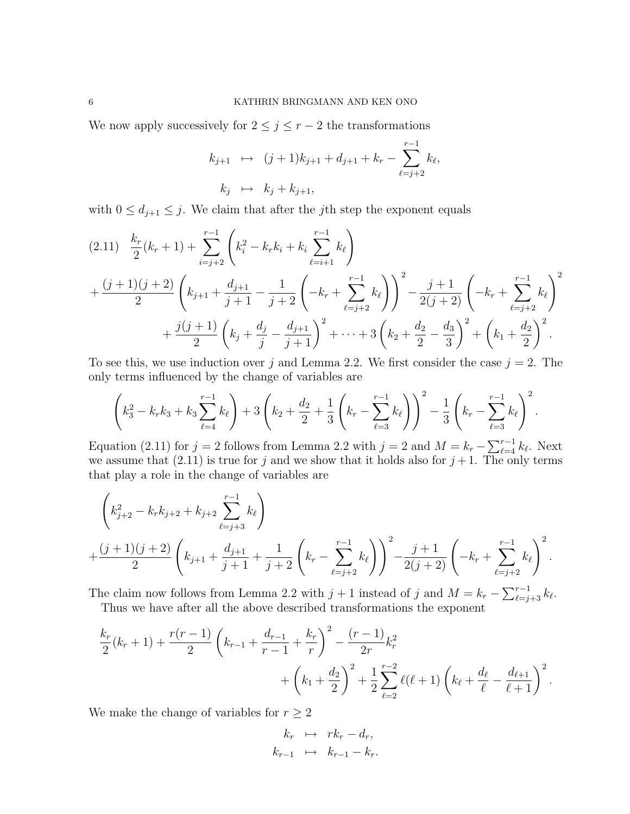We now apply successively for  $2 \leq j \leq r-2$  the transformations

$$
k_{j+1} \mapsto (j+1)k_{j+1} + d_{j+1} + k_r - \sum_{\ell=j+2}^{r-1} k_{\ell},
$$
  

$$
k_j \mapsto k_j + k_{j+1},
$$

with  $0 \leq d_{j+1} \leq j$ . We claim that after the jth step the exponent equals

$$
(2.11) \frac{k_r}{2}(k_r+1) + \sum_{i=j+2}^{r-1} \left(k_i^2 - k_r k_i + k_i \sum_{\ell=i+1}^{r-1} k_\ell\right) + \frac{(j+1)(j+2)}{2}\left(k_{j+1} + \frac{d_{j+1}}{j+1} - \frac{1}{j+2}\left(-k_r + \sum_{\ell=j+2}^{r-1} k_\ell\right)\right)^2 - \frac{j+1}{2(j+2)}\left(-k_r + \sum_{\ell=j+2}^{r-1} k_\ell\right)^2 + \frac{j(j+1)}{2}\left(k_j + \frac{d_j}{j} - \frac{d_{j+1}}{j+1}\right)^2 + \dots + 3\left(k_2 + \frac{d_2}{2} - \frac{d_3}{3}\right)^2 + \left(k_1 + \frac{d_2}{2}\right)^2.
$$

To see this, we use induction over j and Lemma 2.2. We first consider the case  $j = 2$ . The only terms influenced by the change of variables are

$$
\left(k_3^2 - k_r k_3 + k_3 \sum_{\ell=4}^{r-1} k_\ell\right) + 3\left(k_2 + \frac{d_2}{2} + \frac{1}{3}\left(k_r - \sum_{\ell=3}^{r-1} k_\ell\right)\right)^2 - \frac{1}{3}\left(k_r - \sum_{\ell=3}^{r-1} k_\ell\right)^2.
$$

Equation (2.11) for  $j = 2$  follows from Lemma 2.2 with  $j = 2$  and  $M = k_r - \sum_{\ell=4}^{r-1} k_\ell$ . Next we assume that (2.11) is true for j and we show that it holds also for  $j+1$ . The only terms that play a role in the change of variables are

$$
\left(k_{j+2}^{2} - k_{r}k_{j+2} + k_{j+2} \sum_{\ell=j+3}^{r-1} k_{\ell}\right) + \frac{(j+1)(j+2)}{2}\left(k_{j+1} + \frac{d_{j+1}}{j+1} + \frac{1}{j+2}\left(k_{r} - \sum_{\ell=j+2}^{r-1} k_{\ell}\right)\right)^{2} - \frac{j+1}{2(j+2)}\left(-k_{r} + \sum_{\ell=j+2}^{r-1} k_{\ell}\right)^{2}.
$$

The claim now follows from Lemma 2.2 with  $j + 1$  instead of j and  $M = k_r - \sum_{\ell=j+3}^{r-1} k_{\ell}$ . Thus we have after all the above described transformations the exponent

$$
k_{r} = 1.1 \times 10^{10} \text{ m/s}^2 \text{ m}^2 \text{ m}^2 \text{ m}^2 \text{ m}^2 \text{ m}^2 \text{ m}^2 \text{ m}^2 \text{ m}^2 \text{ m}^2 \text{ m}^2 \text{ m}^2 \text{ m}^2 \text{ m}^2 \text{ m}^2 \text{ m}^2 \text{ m}^2 \text{ m}^2 \text{ m}^2 \text{ m}^2 \text{ m}^2 \text{ m}^2 \text{ m}^2 \text{ m}^2 \text{ m}^2 \text{ m}^2 \text{ m}^2 \text{ m}^2 \text{ m}^2 \text{ m}^2 \text{ m}^2 \text{ m}^2 \text{ m}^2 \text{ m}^2 \text{ m}^2 \text{ m}^2 \text{ m}^2 \text{ m}^2 \text{ m}^2 \text{ m}^2 \text{ m}^2 \text{ m}^2 \text{ m}^2 \text{ m}^2 \text{ m}^2 \text{ m}^2 \text{ m}^2 \text{ m}^2 \text{ m}^2 \text{ m}^2 \text{ m}^2 \text{ m}^2 \text{ m}^2 \text{ m}^2 \text{ m}^2 \text{ m}^2 \text{ m}^2 \text{ m}^2 \text{ m}^2 \text{ m}^2 \text{ m}^2 \text{ m}^2 \text{ m}^2 \text{ m}^2 \text{ m}^2 \text{ m}^2 \text{ m}^2 \text{ m}^2 \text{ m}^2 \text{ m}^2 \text{ m}^2 \text{ m}^2 \text{ m}^2 \text{ m}^2 \text{ m}^2 \text{ m}^2 \text{ m}^2 \text{ m}^2 \text{ m}^2 \text{ m}^2 \text{ m}^2 \text{ m}^2 \text{ m}^2 \text{ m}^2 \text{ m}^2 \text{ m}^2 \text{ m}^2 \text{ m}^2 \text{ m}^2 \text{ m}^2 \text{ m}^2 \text{ m}^2 \text{ m}^2 \text{ m}^2 \text{ m}^2 \text{ m}^2 \text{ m}^2 \text{ m}^2 \text{ m}^2 \text{ m}^2 \text{ m}^2 \text{ m}^2 \text{ m}^2 \text{ m}^2 \text{ m}^2 \text{ m}
$$

$$
\frac{k_r}{2}(k_r+1) + \frac{r(r-1)}{2}\left(k_{r-1} + \frac{d_{r-1}}{r-1} + \frac{k_r}{r}\right)^2 - \frac{(r-1)}{2r}k_r^2 + \left(k_1 + \frac{d_2}{2}\right)^2 + \frac{1}{2}\sum_{\ell=2}^{r-2}\ell(\ell+1)\left(k_\ell + \frac{d_\ell}{\ell} - \frac{d_{\ell+1}}{\ell+1}\right)^2.
$$

We make the change of variables for  $r \geq 2$ 

$$
k_r \mapsto rk_r - d_r,
$$
  

$$
k_{r-1} \mapsto k_{r-1} - k_r.
$$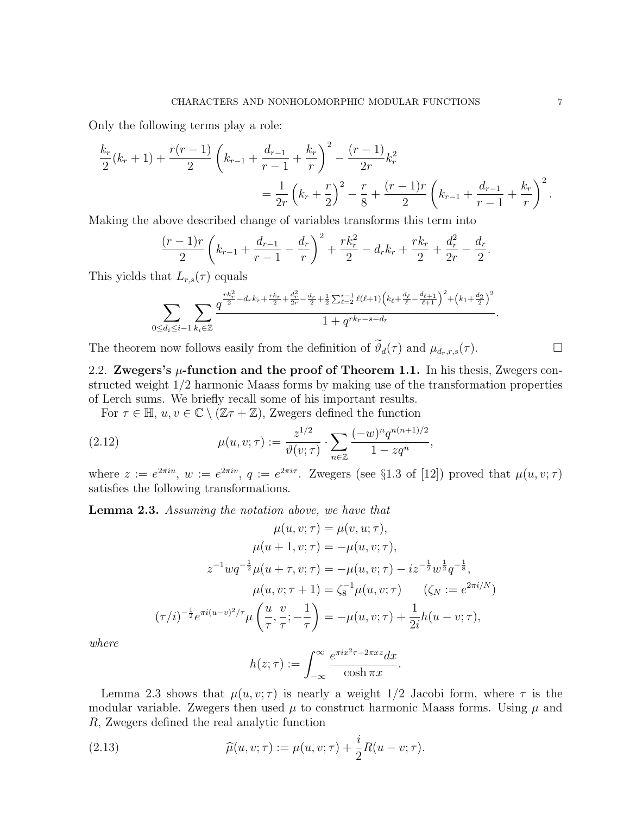Only the following terms play a role:

$$
\frac{k_r}{2}(k_r+1) + \frac{r(r-1)}{2} \left(k_{r-1} + \frac{d_{r-1}}{r-1} + \frac{k_r}{r}\right)^2 - \frac{(r-1)}{2r}k_r^2
$$
\n
$$
= \frac{1}{2r} \left(k_r + \frac{r}{2}\right)^2 - \frac{r}{8} + \frac{(r-1)r}{2} \left(k_{r-1} + \frac{d_{r-1}}{r-1} + \frac{k_r}{r}\right)^2.
$$

Making the above described change of variables transforms this term into

$$
\frac{(r-1)r}{2}\left(k_{r-1}+\frac{d_{r-1}}{r-1}-\frac{d_r}{r}\right)^2+\frac{rk_r^2}{2}-d_rk_r+\frac{rk_r}{2}+\frac{d_r^2}{2r}-\frac{d_r}{2}.
$$

This yields that  $L_{r,s}(\tau)$  equals

$$
\sum_{0 \le d_i \le i-1} \sum_{k_i \in \mathbb{Z}} \frac{q^{\frac{rk_r^2}{2}-d_r k_r + \frac{rk_r}{2} + \frac{d_r^2}{2r} - \frac{d_r}{2} + \frac{1}{2} \sum_{\ell=2}^{r-1} \ell(\ell+1) \left(k_\ell + \frac{d_\ell}{\ell} - \frac{d_{\ell+1}}{\ell+1}\right)^2 + \left(k_1 + \frac{d_2}{2}\right)^2}}{1 + q^{rk_r - s - d_r}}.
$$

The theorem now follows easily from the definition of  $\widetilde{\vartheta}_d(\tau)$  and  $\mu_{d_r,r,s}(\tau)$ .

2.2. Zwegers's  $\mu$ -function and the proof of Theorem 1.1. In his thesis, Zwegers constructed weight 1/2 harmonic Maass forms by making use of the transformation properties of Lerch sums. We briefly recall some of his important results.

For  $\tau \in \mathbb{H}$ ,  $u, v \in \mathbb{C} \setminus (\mathbb{Z}\tau + \mathbb{Z})$ , Zwegers defined the function

(2.12) 
$$
\mu(u, v; \tau) := \frac{z^{1/2}}{\vartheta(v; \tau)} \cdot \sum_{n \in \mathbb{Z}} \frac{(-w)^n q^{n(n+1)/2}}{1 - zq^n}
$$

where  $z := e^{2\pi i u}$ ,  $w := e^{2\pi i v}$ ,  $q := e^{2\pi i \tau}$ . Zwegers (see §1.3 of [12]) proved that  $\mu(u, v; \tau)$ satisfies the following transformations.

,

Lemma 2.3. Assuming the notation above, we have that

$$
\mu(u, v; \tau) = \mu(v, u; \tau),
$$

$$
\mu(u + 1, v; \tau) = -\mu(u, v; \tau),
$$

$$
z^{-1}wq^{-\frac{1}{2}}\mu(u + \tau, v; \tau) = -\mu(u, v; \tau) - iz^{-\frac{1}{2}}w^{\frac{1}{2}}q^{-\frac{1}{8}},
$$

$$
\mu(u, v; \tau + 1) = \zeta_8^{-1}\mu(u, v; \tau) \qquad (\zeta_N := e^{2\pi i/N})
$$

$$
(\tau/i)^{-\frac{1}{2}}e^{\pi i(u-v)^2/\tau}\mu\left(\frac{u}{\tau}, \frac{v}{\tau}; -\frac{1}{\tau}\right) = -\mu(u, v; \tau) + \frac{1}{2i}h(u - v; \tau),
$$

where

$$
h(z;\tau) := \int_{-\infty}^{\infty} \frac{e^{\pi i x^2 \tau - 2\pi x z} dx}{\cosh \pi x}.
$$

Lemma 2.3 shows that  $\mu(u, v; \tau)$  is nearly a weight 1/2 Jacobi form, where  $\tau$  is the modular variable. Zwegers then used  $\mu$  to construct harmonic Maass forms. Using  $\mu$  and R, Zwegers defined the real analytic function

(2.13) 
$$
\widehat{\mu}(u, v; \tau) := \mu(u, v; \tau) + \frac{i}{2}R(u - v; \tau).
$$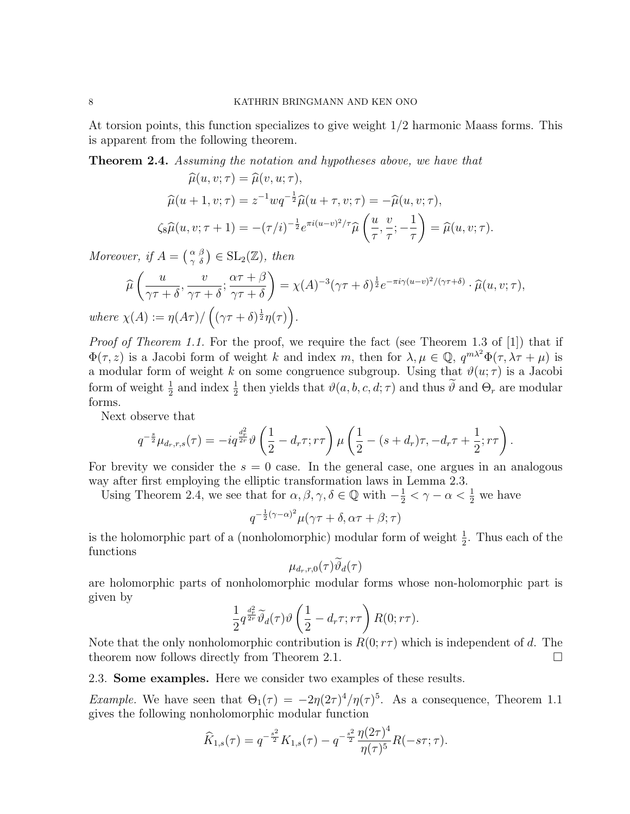At torsion points, this function specializes to give weight 1/2 harmonic Maass forms. This is apparent from the following theorem.

**Theorem 2.4.** Assuming the notation and hypotheses above, we have that

$$
\widehat{\mu}(u, v; \tau) = \widehat{\mu}(v, u; \tau),
$$
  

$$
\widehat{\mu}(u+1, v; \tau) = z^{-1} w q^{-\frac{1}{2}} \widehat{\mu}(u+\tau, v; \tau) = -\widehat{\mu}(u, v; \tau),
$$
  

$$
\zeta_8 \widehat{\mu}(u, v; \tau+1) = -(\tau/i)^{-\frac{1}{2}} e^{\pi i (u-v)^2 / \tau} \widehat{\mu}\left(\frac{u}{\tau}, \frac{v}{\tau}; -\frac{1}{\tau}\right) = \widehat{\mu}(u, v; \tau).
$$

Moreover, if  $A = \begin{pmatrix} \alpha & \beta \\ \gamma & \delta \end{pmatrix} \in SL_2(\mathbb{Z})$ , then

$$
\widehat{\mu}\left(\frac{u}{\gamma\tau+\delta}, \frac{v}{\gamma\tau+\delta}; \frac{\alpha\tau+\beta}{\gamma\tau+\delta}\right) = \chi(A)^{-3}(\gamma\tau+\delta)^{\frac{1}{2}}e^{-\pi i\gamma(u-v)^2/(\gamma\tau+\delta)} \cdot \widehat{\mu}(u,v;\tau),
$$
  

$$
\chi(A) := \eta(A\tau)/\left((\gamma\tau+\delta)^{\frac{1}{2}}\eta(\tau)\right).
$$

Proof of Theorem 1.1. For the proof, we require the fact (see Theorem 1.3 of [1]) that if  $\Phi(\tau, z)$  is a Jacobi form of weight k and index m, then for  $\lambda, \mu \in \mathbb{Q}$ ,  $q^{m\lambda^2} \Phi(\tau, \lambda \tau + \mu)$  is a modular form of weight k on some congruence subgroup. Using that  $\vartheta(u; \tau)$  is a Jacobi form of weight  $\frac{1}{2}$  and index  $\frac{1}{2}$  then yields that  $\vartheta(a, b, c, d; \tau)$  and thus  $\tilde{\vartheta}$  and  $\Theta_r$  are modular forms.

Next observe that

$$
q^{-\frac{s}{2}}\mu_{d_r,r,s}(\tau) = -iq^{\frac{d_r^2}{2r}}\vartheta\left(\frac{1}{2} - d_r\tau; r\tau\right)\mu\left(\frac{1}{2} - (s + d_r)\tau, -d_r\tau + \frac{1}{2}; r\tau\right).
$$

For brevity we consider the  $s = 0$  case. In the general case, one argues in an analogous way after first employing the elliptic transformation laws in Lemma 2.3.

Using Theorem 2.4, we see that for  $\alpha, \beta, \gamma, \delta \in \mathbb{Q}$  with  $-\frac{1}{2} < \gamma - \alpha < \frac{1}{2}$  we have

$$
q^{-\frac{1}{2}(\gamma-\alpha)^2}\mu(\gamma\tau+\delta,\alpha\tau+\beta;\tau)
$$

is the holomorphic part of a (nonholomorphic) modular form of weight  $\frac{1}{2}$ . Thus each of the functions

$$
\mu_{d_r,r,0}(\tau)\widetilde{\vartheta}_d(\tau)
$$

are holomorphic parts of nonholomorphic modular forms whose non-holomorphic part is given by

$$
\frac{1}{2}q^{\frac{d^2_r}{2r}}\widetilde{\vartheta}_d(\tau)\vartheta\left(\frac{1}{2}-d_r\tau;r\tau\right)R(0;r\tau).
$$

Note that the only nonholomorphic contribution is  $R(0;\tau\tau)$  which is independent of d. The theorem now follows directly from Theorem 2.1.

2.3. Some examples. Here we consider two examples of these results.

*Example.* We have seen that  $\Theta_1(\tau) = -2\eta(2\tau)^4/\eta(\tau)^5$ . As a consequence, Theorem 1.1 gives the following nonholomorphic modular function

$$
\widehat{K}_{1,s}(\tau) = q^{-\frac{s^2}{2}} K_{1,s}(\tau) - q^{-\frac{s^2}{2}} \frac{\eta(2\tau)^4}{\eta(\tau)^5} R(-s\tau; \tau).
$$

 $where$